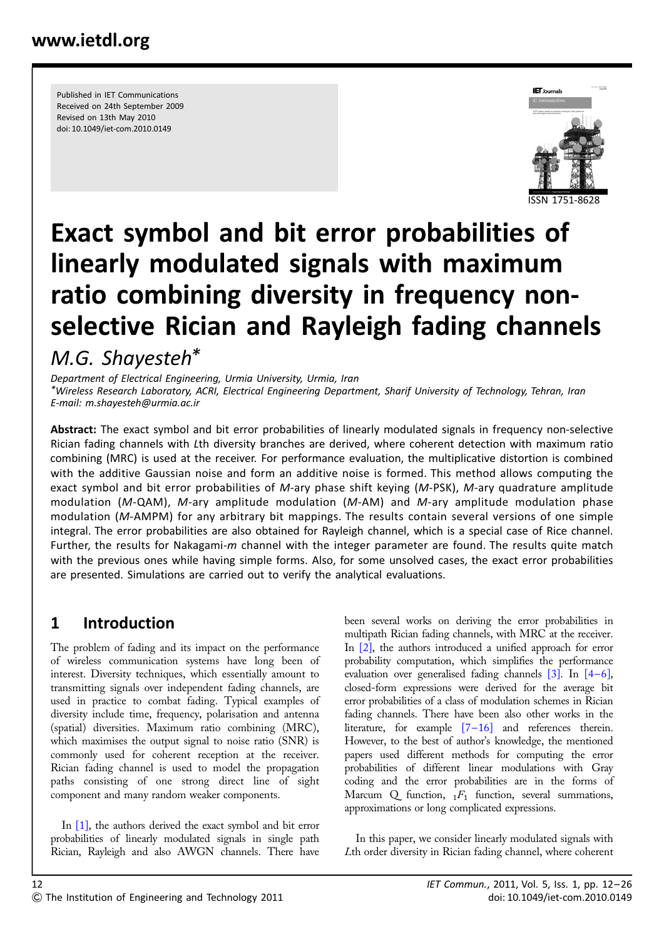Published in IET Communications Received on 24th September 2009 Revised on 13th May 2010 doi: 10.1049/iet-com.2010.0149



# Exact symbol and bit error probabilities of linearly modulated signals with maximum ratio combining diversity in frequency nonselective Rician and Rayleigh fading channels M.G. Shayesteh\*

Department of Electrical Engineering, Urmia University, Urmia, Iran \*Wireless Research Laboratory, ACRI, Electrical Engineering Department, Sharif University of Technology, Tehran, Iran E-mail: m.shayesteh@urmia.ac.ir

Abstract: The exact symbol and bit error probabilities of linearly modulated signals in frequency non-selective Rician fading channels with Lth diversity branches are derived, where coherent detection with maximum ratio combining (MRC) is used at the receiver. For performance evaluation, the multiplicative distortion is combined with the additive Gaussian noise and form an additive noise is formed. This method allows computing the exact symbol and bit error probabilities of M-ary phase shift keying (M-PSK), M-ary quadrature amplitude modulation ( $M$ -QAM),  $M$ -ary amplitude modulation ( $M$ -AM) and  $M$ -ary amplitude modulation phase modulation (M-AMPM) for any arbitrary bit mappings. The results contain several versions of one simple integral. The error probabilities are also obtained for Rayleigh channel, which is a special case of Rice channel. Further, the results for Nakagami-m channel with the integer parameter are found. The results quite match with the previous ones while having simple forms. Also, for some unsolved cases, the exact error probabilities are presented. Simulations are carried out to verify the analytical evaluations.

# 1 Introduction

The problem of fading and its impact on the performance of wireless communication systems have long been of interest. Diversity techniques, which essentially amount to transmitting signals over independent fading channels, are used in practice to combat fading. Typical examples of diversity include time, frequency, polarisation and antenna (spatial) diversities. Maximum ratio combining (MRC), which maximises the output signal to noise ratio (SNR) is commonly used for coherent reception at the receiver. Rician fading channel is used to model the propagation paths consisting of one strong direct line of sight component and many random weaker components.

In [1], the authors derived the exact symbol and bit error probabilities of linearly modulated signals in single path Rician, Rayleigh and also AWGN channels. There have

been several works on deriving the error probabilities in multipath Rician fading channels, with MRC at the receiver. In [2], the authors introduced a unified approach for error probability computation, which simplifies the performance evaluation over generalised fading channels [3]. In [4–6], closed-form expressions were derived for the average bit error probabilities of a class of modulation schemes in Rician fading channels. There have been also other works in the literature, for example [7–16] and references therein. However, to the best of author's knowledge, the mentioned papers used different methods for computing the error probabilities of different linear modulations with Gray coding and the error probabilities are in the forms of Marcum  $Q$  function,  $_1F_1$  function, several summations, approximations or long complicated expressions.

In this paper, we consider linearly modulated signals with Lth order diversity in Rician fading channel, where coherent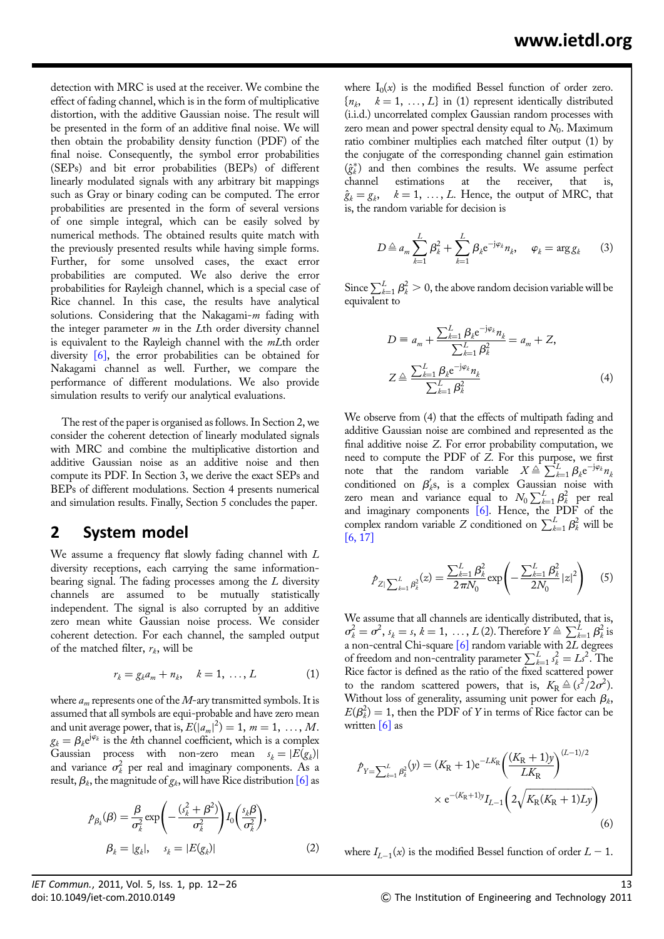detection with MRC is used at the receiver. We combine the effect of fading channel, which is in the form of multiplicative distortion, with the additive Gaussian noise. The result will be presented in the form of an additive final noise. We will then obtain the probability density function (PDF) of the final noise. Consequently, the symbol error probabilities (SEPs) and bit error probabilities (BEPs) of different linearly modulated signals with any arbitrary bit mappings such as Gray or binary coding can be computed. The error probabilities are presented in the form of several versions of one simple integral, which can be easily solved by numerical methods. The obtained results quite match with the previously presented results while having simple forms. Further, for some unsolved cases, the exact error probabilities are computed. We also derive the error probabilities for Rayleigh channel, which is a special case of Rice channel. In this case, the results have analytical solutions. Considering that the Nakagami- $m$  fading with the integer parameter  $m$  in the Lth order diversity channel is equivalent to the Rayleigh channel with the *mLth* order diversity [6], the error probabilities can be obtained for Nakagami channel as well. Further, we compare the performance of different modulations. We also provide simulation results to verify our analytical evaluations.

The rest of the paper is organised as follows. In Section 2, we consider the coherent detection of linearly modulated signals with MRC and combine the multiplicative distortion and additive Gaussian noise as an additive noise and then compute its PDF. In Section 3, we derive the exact SEPs and BEPs of different modulations. Section 4 presents numerical and simulation results. Finally, Section 5 concludes the paper.

## 2 System model

We assume a frequency flat slowly fading channel with L diversity receptions, each carrying the same informationbearing signal. The fading processes among the  $L$  diversity channels are assumed to be mutually statistically independent. The signal is also corrupted by an additive zero mean white Gaussian noise process. We consider coherent detection. For each channel, the sampled output of the matched filter,  $r_k$ , will be

$$
r_k = g_k a_m + n_k, \quad k = 1, \ldots, L \tag{1}
$$

where  $a_m$  represents one of the M-ary transmitted symbols. It is assumed that all symbols are equi-probable and have zero mean and unit average power, that is,  $E(|a_m|^2) = 1$ ,  $m = 1, ..., M$ .  $g_k = \beta_k e^{j\varphi_k}$  is the kth channel coefficient, which is a complex Gaussian process with non-zero mean  $s_k = |E(g_k)|$ and variance  $\sigma_k^2$  per real and imaginary components. As a result,  $\beta_k$ , the magnitude of  $g_k$ , will have Rice distribution [6] as

$$
\rho_{\beta_k}(\beta) = \frac{\beta}{\sigma_k^2} \exp\left(-\frac{(s_k^2 + \beta^2)}{\sigma_k^2}\right) I_0\left(\frac{s_k \beta}{\sigma_k^2}\right),
$$
\n
$$
\beta_k = |g_k|, \quad s_k = |E(g_k)| \tag{2}
$$

where  $I_0(x)$  is the modified Bessel function of order zero.  ${n_k, k = 1, ..., L}$  in (1) represent identically distributed (i.i.d.) uncorrelated complex Gaussian random processes with zero mean and power spectral density equal to  $N_0$ . Maximum ratio combiner multiplies each matched filter output (1) by the conjugate of the corresponding channel gain estimation  $(\hat{g}_k^*)$  and then combines the results. We assume perfect channel estimations at the receiver, that is,  $\hat{g}_k = g_k, \quad k = 1, \ldots, L$ . Hence, the output of MRC, that is, the random variable for decision is

$$
D \triangleq a_m \sum_{k=1}^{L} \beta_k^2 + \sum_{k=1}^{L} \beta_k e^{-j\varphi_k} n_k, \quad \varphi_k = \arg g_k \qquad (3)
$$

Since  $\sum_{k=1}^{L} \beta_k^2 > 0$ , the above random decision variable will be equivalent to

$$
D = a_m + \frac{\sum_{k=1}^{L} \beta_k e^{-j\varphi_k} n_k}{\sum_{k=1}^{L} \beta_k^2} = a_m + Z,
$$
  

$$
Z \triangleq \frac{\sum_{k=1}^{L} \beta_k e^{-j\varphi_k} n_k}{\sum_{k=1}^{L} \beta_k^2}
$$
 (4)

We observe from (4) that the effects of multipath fading and additive Gaussian noise are combined and represented as the final additive noise Z. For error probability computation, we need to compute the PDF of Z. For this purpose, we first note that the random variable  $X \triangleq \sum_{k=1}^{L} \beta_k e^{-j\varphi_k} n_k$ conditioned on  $\beta'_{k}$ s, is a complex Gaussian noise with zero mean and variance equal to  $N_0 \sum_{k=1}^L \beta_k^2$  per real and imaginary components [6]. Hence, the PDF of the complex random variable Z conditioned on  $\sum_{k=1}^{L} \beta_k^2$  will be [6, 17]

$$
\hat{P}_{Z| \sum_{k=1}^{L} \beta_k^2}(z) = \frac{\sum_{k=1}^{L} \beta_k^2}{2\pi N_0} \exp\left(-\frac{\sum_{k=1}^{L} \beta_k^2}{2N_0} |z|^2\right) \tag{5}
$$

We assume that all channels are identically distributed, that is,  $\sigma_k^2 = \sigma^2$ ,  $s_k = s, k = 1, ..., L(2)$ . Therefore  $Y \triangleq \sum_{k=1}^L \beta_k^2$  is a non-central Chi-square  $[6]$  random variable with 2L degrees of freedom and non-centrality parameter  $\sum_{k=1}^{L} s_k^2 = Ls^2$ . The Rice factor is defined as the ratio of the fixed scattered power to the random scattered powers, that is,  $K_R \triangleq (s^2/2\sigma^2)$ . Without loss of generality, assuming unit power for each  $\beta_k$ ,  $E(\beta_k^2) = 1$ , then the PDF of Y in terms of Rice factor can be written  $\lceil 6 \rceil$  as

$$
\begin{split} \hat{P}_{Y=\sum_{k=1}^{L} \beta_k^2}(y) &= (K_{\rm R} + 1) \mathrm{e}^{-LK_{\rm R}} \left( \frac{(K_{\rm R} + 1)y}{LK_{\rm R}} \right)^{(L-1)/2} \\ &\times \mathrm{e}^{-(K_{\rm R} + 1)y} I_{L-1} \left( 2\sqrt{K_{\rm R}(K_{\rm R} + 1)Ly} \right) \end{split} \tag{6}
$$

where  $I_{L-1}(x)$  is the modified Bessel function of order  $L - 1$ .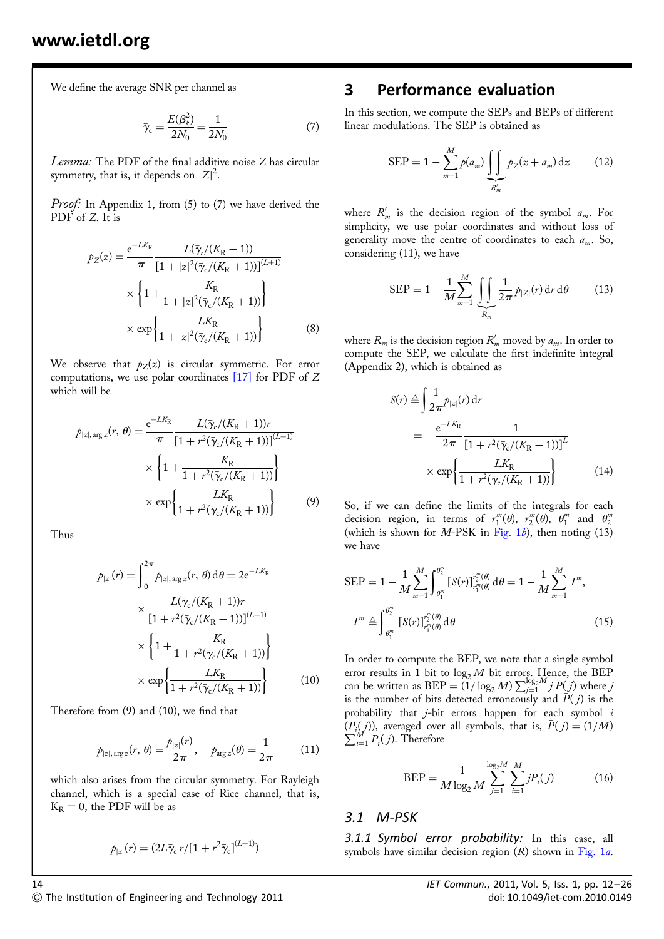We define the average SNR per channel as

$$
\bar{\gamma}_{\rm c} = \frac{E(\beta_k^2)}{2N_0} = \frac{1}{2N_0} \tag{7}
$$

Lemma: The PDF of the final additive noise Z has circular symmetry, that is, it depends on  $|Z|^2$ .

Proof: In Appendix 1, from (5) to (7) we have derived the PDF of Z. It is

$$
p_Z(z) = \frac{e^{-LK_{\rm R}}}{\pi} \frac{L(\bar{\gamma}_c/(K_{\rm R}+1))}{[1+|z|^2(\bar{\gamma}_c/(K_{\rm R}+1))]^{(L+1)}} \times \left\{1 + \frac{K_{\rm R}}{1+|z|^2(\bar{\gamma}_c/(K_{\rm R}+1))}\right\} \times \exp\left\{\frac{LK_{\rm R}}{1+|z|^2(\bar{\gamma}_c/(K_{\rm R}+1))}\right\} \tag{8}
$$

We observe that  $p_Z(z)$  is circular symmetric. For error computations, we use polar coordinates [17] for PDF of Z which will be

$$
\mathcal{P}_{|z|, \arg z}(r, \theta) = \frac{e^{-LK_{\text{R}}}}{\pi} \frac{L(\bar{\gamma}_{\text{c}}/(K_{\text{R}}+1))r}{[1 + r^2(\bar{\gamma}_{\text{c}}/(K_{\text{R}}+1))]^{(L+1)}} \times \left\{1 + \frac{K_{\text{R}}}{1 + r^2(\bar{\gamma}_{\text{c}}/(K_{\text{R}}+1))}\right\} \times \exp\left\{\frac{LK_{\text{R}}}{1 + r^2(\bar{\gamma}_{\text{c}}/(K_{\text{R}}+1))}\right\} \tag{9}
$$

Thus

$$
p_{|z|}(r) = \int_0^{2\pi} p_{|z|, \arg z}(r, \theta) d\theta = 2e^{-LK_R}
$$

$$
\times \frac{L(\bar{\gamma}_c/(K_R+1))r}{[1 + r^2(\bar{\gamma}_c/(K_R+1))]^{(L+1)}}
$$

$$
\times \left\{ 1 + \frac{K_R}{1 + r^2(\bar{\gamma}_c/(K_R+1))} \right\}
$$

$$
\times \exp\left\{ \frac{LK_R}{1 + r^2(\bar{\gamma}_c/(K_R+1))} \right\}
$$
(10)

Therefore from (9) and (10), we find that

$$
p_{|z|, \arg z}(r, \theta) = \frac{p_{|z|}(r)}{2\pi}, \quad p_{\arg z}(\theta) = \frac{1}{2\pi}
$$
 (11)

which also arises from the circular symmetry. For Rayleigh channel, which is a special case of Rice channel, that is,  $K_R = 0$ , the PDF will be as

$$
p_{|z|}(r)=(2L\bar{\gamma}_{\rm c}\,r/[1+r^2\bar{\gamma}_{\rm c}]^{(L+1)})
$$

#### 3 Performance evaluation

In this section, we compute the SEPs and BEPs of different linear modulations. The SEP is obtained as

$$
SEP = 1 - \sum_{m=1}^{M} p(a_m) \underbrace{\int \int}_{R'_m} p_Z(z + a_m) dz \qquad (12)
$$

where  $R'_m$  is the decision region of the symbol  $a_m$ . For simplicity, we use polar coordinates and without loss of generality move the centre of coordinates to each  $a_m$ . So, considering (11), we have

$$
SEP = 1 - \frac{1}{M} \sum_{m=1}^{M} \underbrace{\iint}_{R_m} \frac{1}{2\pi} \hat{P}_{|Z|}(r) dr d\theta \qquad (13)
$$

where  $R_m$  is the decision region  $R'_m$  moved by  $a_m$ . In order to compute the SEP, we calculate the first indefinite integral (Appendix 2), which is obtained as

$$
S(r) \triangleq \int \frac{1}{2\pi} p_{|z|}(r) dr
$$
  
= 
$$
-\frac{e^{-LK_{R}}}{2\pi} \frac{1}{[1 + r^{2}(\bar{\gamma}_{c}/(K_{R} + 1))]^{L}}
$$
  

$$
\times \exp \left\{ \frac{LK_{R}}{1 + r^{2}(\bar{\gamma}_{c}/(K_{R} + 1))} \right\}
$$
(14)

So, if we can define the limits of the integrals for each decision region, in terms of  $r_1^m(\theta)$ ,  $r_2^m(\theta)$ ,  $\theta_1^m$  and  $\theta_2^m$ (which is shown for M-PSK in Fig.  $1b$ ), then noting (13) we have

$$
SEP = 1 - \frac{1}{M} \sum_{m=1}^{M} \int_{\theta_1^m}^{\theta_2^m} [S(r)]_{r_1^m(\theta)}^{r_2^m(\theta)} d\theta = 1 - \frac{1}{M} \sum_{m=1}^{M} I^m,
$$
  

$$
I^m \triangleq \int_{\theta_1^m}^{\theta_2^m} [S(r)]_{r_1^m(\theta)}^{r_2^m(\theta)} d\theta
$$
 (15)

In order to compute the BEP, we note that a single symbol error results in 1 bit to  $\log_2 M$  bit errors. Hence, the BEP can be written as  $BEP = (1/\log_2 M) \sum_{j=1}^{\log_2 M} j \bar{P}(j)$  where j is the number of bits detected erroneously and  $\overline{P}(j)$  is the probability that j-bit errors happen for each symbol i  $(P_i(j))$ , averaged over all symbols, that is,  $\bar{P}(j) = (1/M)$  $\sum_{i=1}^{M} P_i(j)$ . Therefore

$$
BEP = \frac{1}{M \log_2 M} \sum_{j=1}^{\log_2 M} \sum_{i=1}^M j P_i(j)
$$
 (16)

#### 3.1 M-PSK

3.1.1 Symbol error probability: In this case, all symbols have similar decision region  $(R)$  shown in Fig. 1a.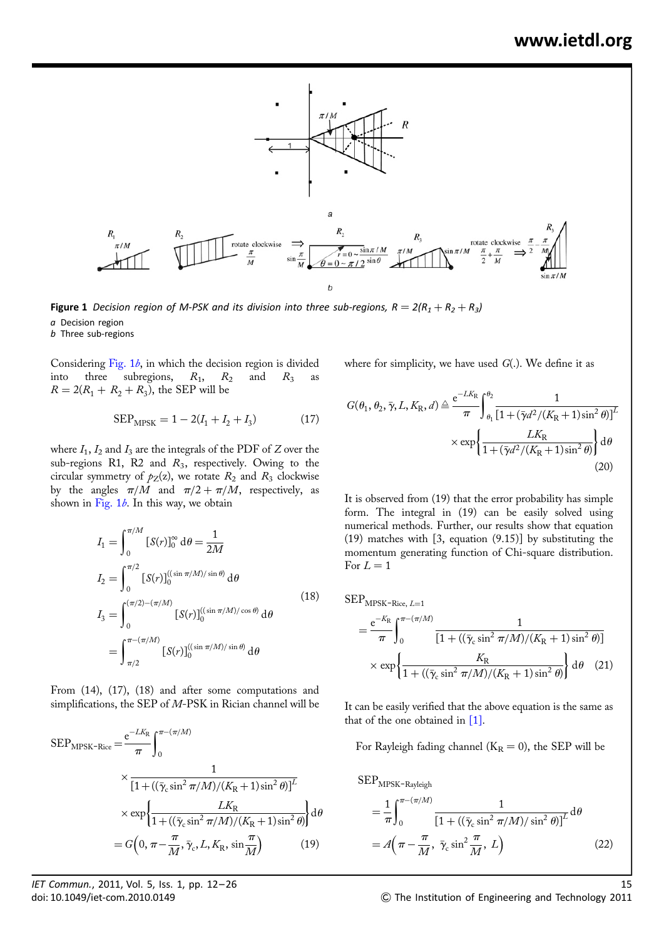

**Figure 1** Decision region of M-PSK and its division into three sub-regions,  $R = 2(R_1 + R_2 + R_3)$ a Decision region

b Three sub-regions

Considering Fig.  $1b$ , in which the decision region is divided into three subregions,  $R_1$ ,  $R_2$  and  $R_3$  as  $R = 2(R_1 + R_2 + R_3)$ , the SEP will be

$$
SEP_{MPSK} = 1 - 2(I_1 + I_2 + I_3)
$$
 (17)

where  $I_1$ ,  $I_2$  and  $I_3$  are the integrals of the PDF of Z over the sub-regions R1, R2 and  $R_3$ , respectively. Owing to the circular symmetry of  $p_Z(z)$ , we rotate  $R_2$  and  $R_3$  clockwise by the angles  $\pi/M$  and  $\pi/2 + \pi/M$ , respectively, as shown in Fig.  $1b$ . In this way, we obtain

$$
I_{1} = \int_{0}^{\pi/M} [S(r)]_{0}^{\infty} d\theta = \frac{1}{2M}
$$
  
\n
$$
I_{2} = \int_{0}^{\pi/2} [S(r)]_{0}^{((\sin \pi/M)/ \sin \theta)} d\theta
$$
  
\n
$$
I_{3} = \int_{0}^{(\pi/2) - (\pi/M)} [S(r)]_{0}^{((\sin \pi/M)/ \cos \theta)} d\theta
$$
  
\n
$$
= \int_{\pi/2}^{\pi - (\pi/M)} [S(r)]_{0}^{((\sin \pi/M)/ \sin \theta)} d\theta
$$
\n(18)

From (14), (17), (18) and after some computations and simplifications, the SEP of M-PSK in Rician channel will be

$$
SEP_{MPSK-Rice} = \frac{e^{-LK_{R}}}{\pi} \int_{0}^{\pi - (\pi/M)} \times \frac{1}{\left[1 + ((\bar{\gamma}_{c} \sin^{2} \pi/M)/(K_{R} + 1) \sin^{2} \theta)\right]^{L}}
$$

$$
\times \exp\left\{\frac{LK_{R}}{1 + ((\bar{\gamma}_{c} \sin^{2} \pi/M)/(K_{R} + 1) \sin^{2} \theta)}\right\} d\theta
$$

$$
= G\left(0, \pi - \frac{\pi}{M}, \bar{\gamma}_{c}, L, K_{R}, \sin \frac{\pi}{M}\right) \tag{19}
$$

where for simplicity, we have used  $G(.)$ . We define it as

$$
G(\theta_1, \theta_2, \bar{\gamma}, L, K_R, d) \triangleq \frac{e^{-LK_R}}{\pi} \int_{\theta_1}^{\theta_2} \frac{1}{[1 + (\bar{\gamma}d^2/(K_R + 1)\sin^2\theta)]^L}
$$

$$
\times \exp\left\{\frac{LK_R}{1 + (\bar{\gamma}d^2/(K_R + 1)\sin^2\theta)}\right\} d\theta
$$
(20)

It is observed from (19) that the error probability has simple form. The integral in (19) can be easily solved using numerical methods. Further, our results show that equation (19) matches with [3, equation (9.15)] by substituting the momentum generating function of Chi-square distribution. For  $L = 1$ 

$$
SEP_{MPSK\text{-}Rice, L=1}
$$

$$
= \frac{e^{-K_{\rm R}}}{\pi} \int_0^{\pi - (\pi/M)} \frac{1}{[1 + ((\bar{\gamma}_{\rm c} \sin^2 \pi/M)/(K_{\rm R} + 1) \sin^2 \theta)]} \times \exp \left\{ \frac{K_{\rm R}}{1 + ((\bar{\gamma}_{\rm c} \sin^2 \pi/M)/(K_{\rm R} + 1) \sin^2 \theta)} \right\} d\theta
$$
 (21)

It can be easily verified that the above equation is the same as that of the one obtained in [1].

For Rayleigh fading channel ( $K_R = 0$ ), the SEP will be

$$
SEP_{MPSK-Rayleigh}
$$
  
=  $\frac{1}{\pi} \int_0^{\pi - (\pi/M)} \frac{1}{[1 + ((\bar{\gamma}_c \sin^2 \pi/M)/ \sin^2 \theta)]^L} d\theta$   
=  $A(\pi - \frac{\pi}{M}, \bar{\gamma}_c \sin^2 \frac{\pi}{M}, L)$  (22)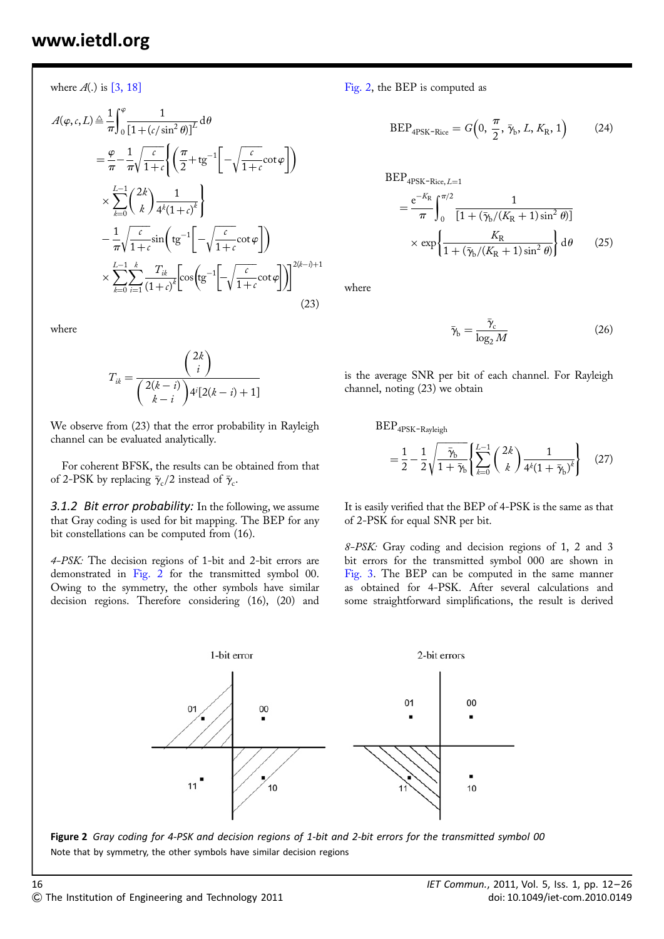where  $A(.)$  is [3, 18]

$$
A(\varphi, c, L) \triangleq \frac{1}{\pi} \int_0^{\varphi} \frac{1}{\left[1 + (c/\sin^2 \theta)\right]^L} d\theta
$$
  
\n
$$
= \frac{\varphi}{\pi} - \frac{1}{\pi} \sqrt{\frac{c}{1 + c}} \left\{ \left(\frac{\pi}{2} + t g^{-1} \left[ -\sqrt{\frac{c}{1 + c}} \cot \varphi \right] \right) \right\}
$$
  
\n
$$
\times \sum_{k=0}^{L-1} {2k \choose k} \frac{1}{4^k (1 + c)^k}
$$
  
\n
$$
- \frac{1}{\pi} \sqrt{\frac{c}{1 + c}} \sin \left( t g^{-1} \left[ -\sqrt{\frac{c}{1 + c}} \cot \varphi \right] \right)
$$
  
\n
$$
\times \sum_{k=0}^{L-1} \sum_{i=1}^k \frac{T_{ik}}{(1 + c)^k} \left[ \cos \left( t g^{-1} \left[ -\sqrt{\frac{c}{1 + c}} \cot \varphi \right] \right) \right]^{2(k - i) + 1}
$$
  
\n(23)

where

$$
T_{ik} = \frac{\binom{2k}{i}}{\binom{2(k-i)}{k-i}4^{i}[2(k-i)+1]}
$$

We observe from (23) that the error probability in Rayleigh channel can be evaluated analytically.

For coherent BFSK, the results can be obtained from that of 2-PSK by replacing  $\bar{\gamma}_c/2$  instead of  $\bar{\gamma}_c$ .

**3.1.2 Bit error probability:** In the following, we assume that Gray coding is used for bit mapping. The BEP for any bit constellations can be computed from (16).

4-PSK: The decision regions of 1-bit and 2-bit errors are demonstrated in Fig. 2 for the transmitted symbol 00. Owing to the symmetry, the other symbols have similar decision regions. Therefore considering (16), (20) and Fig. 2, the BEP is computed as

$$
BEP_{4PSK-Rice} = G\left(0, \frac{\pi}{2}, \bar{\gamma}_b, L, K_R, 1\right) \tag{24}
$$

$$
BEP_{4PSK-Rice, L=1}
$$
  
=  $\frac{e^{-K_{R}}}{\pi} \int_{0}^{\pi/2} \frac{1}{[1 + (\bar{\gamma}_{b}/(K_{R} + 1) sin^{2} \theta)]}$   
×  $\exp \left\{ \frac{K_{R}}{1 + (\bar{\gamma}_{b}/(K_{R} + 1) sin^{2} \theta)} \right\} d\theta$  (25)

where

$$
\bar{\gamma}_{\rm b} = \frac{\bar{\gamma}_{\rm c}}{\log_2 M} \tag{26}
$$

is the average SNR per bit of each channel. For Rayleigh channel, noting (23) we obtain

BEP4PSK-Rayleigh

$$
= \frac{1}{2} - \frac{1}{2} \sqrt{\frac{\bar{\gamma}_b}{1 + \bar{\gamma}_b}} \left\{ \sum_{k=0}^{L-1} {2k \choose k} \frac{1}{4^k (1 + \bar{\gamma}_b)^k} \right\}
$$
(27)

It is easily verified that the BEP of 4-PSK is the same as that of 2-PSK for equal SNR per bit.

8-PSK: Gray coding and decision regions of 1, 2 and 3 bit errors for the transmitted symbol 000 are shown in Fig. 3. The BEP can be computed in the same manner as obtained for 4-PSK. After several calculations and some straightforward simplifications, the result is derived



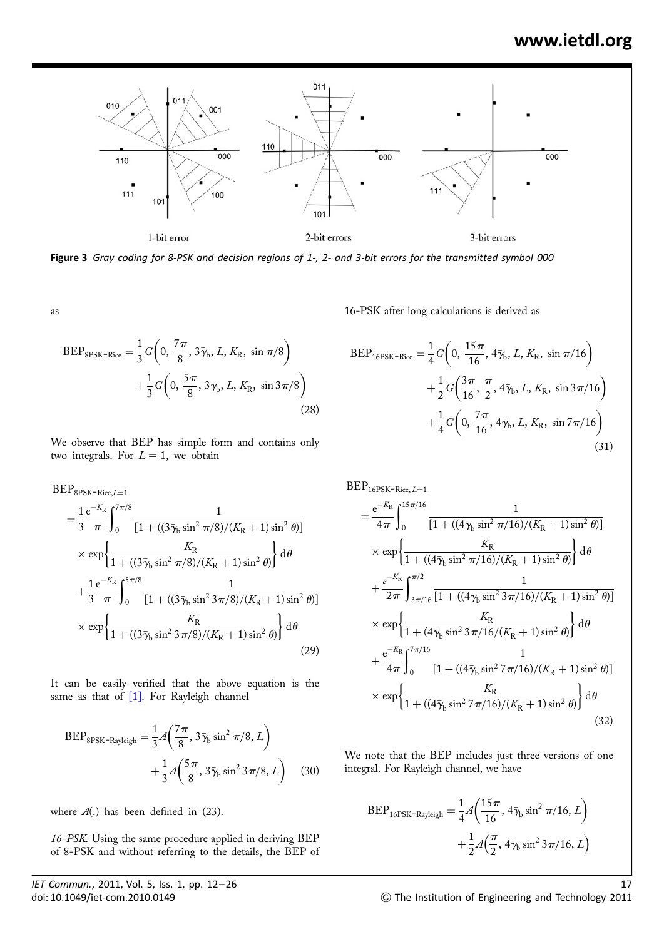

Figure 3 Gray coding for 8-PSK and decision regions of 1-, 2- and 3-bit errors for the transmitted symbol 000

as

$$
BEP_{8PSK-Rice} = \frac{1}{3} G\left(0, \frac{7\pi}{8}, 3\bar{\gamma}_{b}, L, K_{R}, \sin \pi/8\right) + \frac{1}{3} G\left(0, \frac{5\pi}{8}, 3\bar{\gamma}_{b}, L, K_{R}, \sin 3\pi/8\right)
$$
(28)

We observe that BEP has simple form and contains only two integrals. For  $L = 1$ , we obtain

$$
BEP_{8PSK-Rice,L=1}
$$
  
=  $\frac{1}{3} \frac{e^{-K_R} \int_0^{7\pi/8} \frac{1}{[1 + ((3\bar{\gamma}_b \sin^2 \pi/8)/(K_R + 1) \sin^2 \theta)]}$   
 $\times \exp \left\{ \frac{K_R}{1 + ((3\bar{\gamma}_b \sin^2 \pi/8)/(K_R + 1) \sin^2 \theta)} \right\} d\theta$   
+  $\frac{1}{3} \frac{e^{-K_R}}{\pi} \int_0^{5\pi/8} \frac{1}{[1 + ((3\bar{\gamma}_b \sin^2 3\pi/8)/(K_R + 1) \sin^2 \theta)]}$   
 $\times \exp \left\{ \frac{K_R}{1 + ((3\bar{\gamma}_b \sin^2 3\pi/8)/(K_R + 1) \sin^2 \theta)} \right\} d\theta$  (29)

It can be easily verified that the above equation is the same as that of [1]. For Rayleigh channel

$$
BEP_{8PSK-Rayleigh} = \frac{1}{3} A \left( \frac{7\pi}{8}, 3\bar{\gamma}_b \sin^2 \pi/8, L \right) + \frac{1}{3} A \left( \frac{5\pi}{8}, 3\bar{\gamma}_b \sin^2 3\pi/8, L \right) \tag{30}
$$

where  $A(.)$  has been defined in (23).

16-PSK: Using the same procedure applied in deriving BEP of 8-PSK and without referring to the details, the BEP of 16-PSK after long calculations is derived as

$$
BEP_{16PSK-Rice} = \frac{1}{4} G\left(0, \frac{15\pi}{16}, 4\bar{\gamma}_b, L, K_R, \sin \pi/16\right) + \frac{1}{2} G\left(\frac{3\pi}{16}, \frac{\pi}{2}, 4\bar{\gamma}_b, L, K_R, \sin 3\pi/16\right) + \frac{1}{4} G\left(0, \frac{7\pi}{16}, 4\bar{\gamma}_b, L, K_R, \sin 7\pi/16\right)
$$
\n(31)

 $\text{BEP}_{16\text{PSK}-\text{Rice},\,L=1}$ 

$$
= \frac{e^{-K_{R}}}{4\pi} \int_{0}^{15\pi/16} \frac{1}{[1 + ((4\bar{\gamma}_{b}\sin^{2}\pi/16)/(K_{R} + 1)\sin^{2}\theta)]}
$$
  
\n
$$
\times \exp \left\{ \frac{K_{R}}{1 + ((4\bar{\gamma}_{b}\sin^{2}\pi/16)/(K_{R} + 1)\sin^{2}\theta)} \right\} d\theta
$$
  
\n
$$
+ \frac{e^{-K_{R}}}{2\pi} \int_{3\pi/16}^{\pi/2} \frac{1}{[1 + ((4\bar{\gamma}_{b}\sin^{2}3\pi/16)/(K_{R} + 1)\sin^{2}\theta)]}
$$
  
\n
$$
\times \exp \left\{ \frac{K_{R}}{1 + (4\bar{\gamma}_{b}\sin^{2}3\pi/16/(K_{R} + 1)\sin^{2}\theta)} \right\} d\theta
$$
  
\n
$$
+ \frac{e^{-K_{R}}}{4\pi} \int_{0}^{7\pi/16} \frac{1}{[1 + ((4\bar{\gamma}_{b}\sin^{2}7\pi/16)/(K_{R} + 1)\sin^{2}\theta)]}
$$
  
\n
$$
\times \exp \left\{ \frac{K_{R}}{1 + ((4\bar{\gamma}_{b}\sin^{2}7\pi/16)/(K_{R} + 1)\sin^{2}\theta)} \right\} d\theta
$$
  
\n(32)

We note that the BEP includes just three versions of one integral. For Rayleigh channel, we have

$$
BEP_{16PSK-Rayleigh} = \frac{1}{4} A \left( \frac{15 \pi}{16}, 4 \bar{\gamma}_b \sin^2 \pi / 16, L \right) + \frac{1}{2} A \left( \frac{\pi}{2}, 4 \bar{\gamma}_b \sin^2 3 \pi / 16, L \right)
$$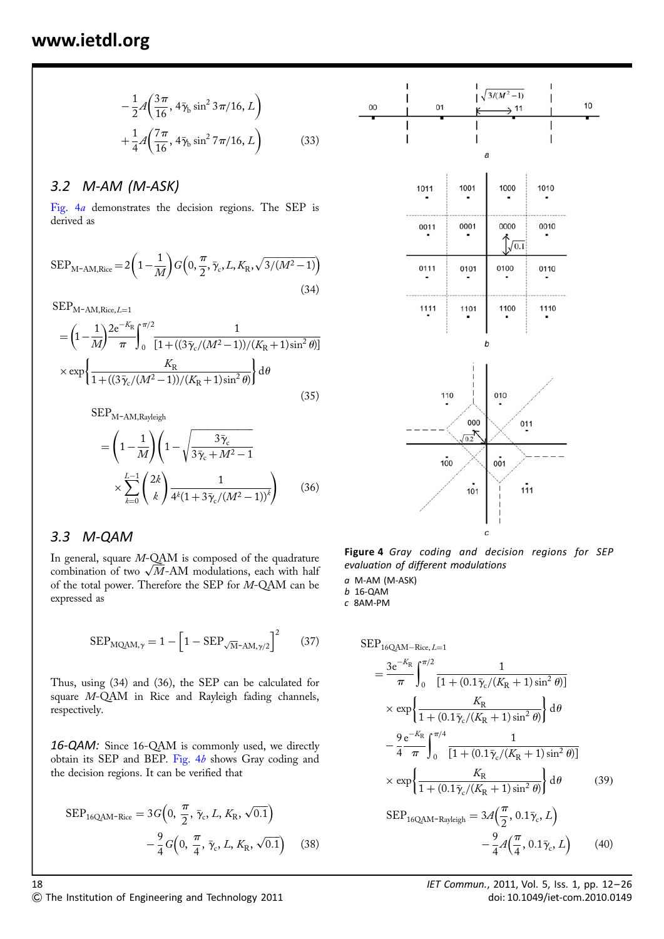$$
-\frac{1}{2}A\left(\frac{3\pi}{16}, 4\bar{\gamma}_{b}\sin^{2} 3\pi/16, L\right) +\frac{1}{4}A\left(\frac{7\pi}{16}, 4\bar{\gamma}_{b}\sin^{2} 7\pi/16, L\right)
$$
(33)

#### 3.2 M-AM (M-ASK)

Fig. 4a demonstrates the decision regions. The SEP is derived as

$$
SEP_{\text{M-AM,Rice}} = 2\left(1 - \frac{1}{M}\right)G\left(0, \frac{\pi}{2}, \bar{\gamma}_c, L, K_{\text{R}}, \sqrt{3/(M^2 - 1)}\right)
$$
\n(34)

 $\rm{SEP}_{\rm{M-AM,Rice},\it{L=1}}$ 

$$
= \left(1 - \frac{1}{M}\right)^{2e^{-K_{R}}}\int_{0}^{\pi/2} \frac{1}{[1 + ((3\bar{\gamma}_{c}/(M^{2} - 1))/(K_{R} + 1)\sin^{2}\theta)]}
$$

$$
\times \exp\left\{\frac{K_{R}}{1 + ((3\bar{\gamma}_{c}/(M^{2} - 1))/(K_{R} + 1)\sin^{2}\theta)}\right\} d\theta
$$
(35)

 $SEP_{M-AM,Rayleigh}$ 

$$
= \left(1 - \frac{1}{M}\right) \left(1 - \sqrt{\frac{3\bar{\gamma}_c}{3\bar{\gamma}_c + M^2 - 1}}\right) \times \sum_{k=0}^{L-1} {2k \choose k} \frac{1}{4^k (1 + 3\bar{\gamma}_c/(M^2 - 1))^k} \right) (36)
$$

#### 3.3 M-QAM

In general, square M-QAM is composed of the quadrature combination of two  $\sqrt{M}$ -AM modulations, each with half of the total power. Therefore the SEP for M-QAM can be expressed as

$$
SEP_{MQAM,\gamma} = 1 - \left[1 - SEP_{\sqrt{M}-AM,\gamma/2}\right]^2 \tag{37}
$$

Thus, using (34) and (36), the SEP can be calculated for square M-QAM in Rice and Rayleigh fading channels, respectively.

16-QAM: Since 16-QAM is commonly used, we directly obtain its SEP and BEP. Fig. 4b shows Gray coding and the decision regions. It can be verified that

$$
SEP_{16QAM-Rice} = 3G\left(0, \frac{\pi}{2}, \bar{\gamma}_c, L, K_R, \sqrt{0.1}\right) - \frac{9}{4}G\left(0, \frac{\pi}{4}, \bar{\gamma}_c, L, K_R, \sqrt{0.1}\right)
$$
(38)



Figure 4 Gray coding and decision regions for SEP evaluation of different modulations

a M-AM (M-ASK)

b 16-QAM c 8AM-PM

$$
SEP_{16QAM-Rice, L=1}
$$
\n
$$
= \frac{3e^{-K_{R}}}{\pi} \int_{0}^{\pi/2} \frac{1}{[1 + (0.1\bar{\gamma}_{c}/(K_{R} + 1)\sin^{2}\theta)]}
$$
\n
$$
\times \exp\left\{\frac{K_{R}}{1 + (0.1\bar{\gamma}_{c}/(K_{R} + 1)\sin^{2}\theta)}\right\} d\theta
$$
\n
$$
- \frac{9e^{-K_{R}}}{4} \int_{0}^{\pi/4} \frac{1}{[1 + (0.1\bar{\gamma}_{c}/(K_{R} + 1)\sin^{2}\theta)]}
$$
\n
$$
\times \exp\left\{\frac{K_{R}}{1 + (0.1\bar{\gamma}_{c}/(K_{R} + 1)\sin^{2}\theta)}\right\} d\theta
$$
\n
$$
SEP_{16QAM-Rayleigh} = 3\mathcal{A}\left(\frac{\pi}{2}, 0.1\bar{\gamma}_{c}, L\right)
$$
\n
$$
- \frac{9}{4}\mathcal{A}\left(\frac{\pi}{4}, 0.1\bar{\gamma}_{c}, L\right) \tag{40}
$$

 $\degree$  The Institution of Engineering and Technology 2011 doi: 10.1049/iet-com.2010.0149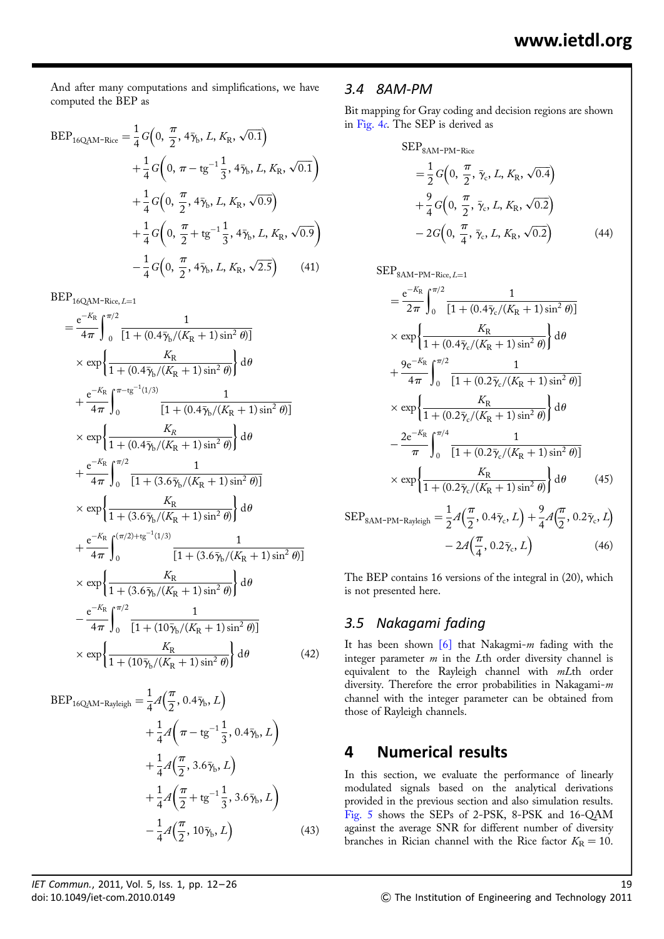And after many computations and simplifications, we have computed the BEP as

$$
BEP_{16QAM-Rice} = \frac{1}{4} G\left(0, \frac{\pi}{2}, 4\bar{\gamma}_b, L, K_R, \sqrt{0.1}\right) + \frac{1}{4} G\left(0, \pi - tg^{-1} \frac{1}{3}, 4\bar{\gamma}_b, L, K_R, \sqrt{0.1}\right) + \frac{1}{4} G\left(0, \frac{\pi}{2}, 4\bar{\gamma}_b, L, K_R, \sqrt{0.9}\right) + \frac{1}{4} G\left(0, \frac{\pi}{2} + tg^{-1} \frac{1}{3}, 4\bar{\gamma}_b, L, K_R, \sqrt{0.9}\right) - \frac{1}{4} G\left(0, \frac{\pi}{2}, 4\bar{\gamma}_b, L, K_R, \sqrt{2.5}\right) \tag{41}
$$

 $\mathrm{BEP}_{16\mathrm{QAM}\text{-}\mathrm{Rice},\,L=1}$ 

$$
= \frac{e^{-K_{R}}}{4\pi} \int_{0}^{\pi/2} \frac{1}{[1 + (0.4\bar{\gamma}_{b}/(K_{R} + 1)\sin^{2}\theta)]}
$$
  
\n
$$
\times \exp \left\{ \frac{K_{R}}{1 + (0.4\bar{\gamma}_{b}/(K_{R} + 1)\sin^{2}\theta)} \right\} d\theta
$$
  
\n
$$
+ \frac{e^{-K_{R}}}{4\pi} \int_{0}^{\pi - tg^{-1}(1/3)} \frac{1}{[1 + (0.4\bar{\gamma}_{b}/(K_{R} + 1)\sin^{2}\theta)]}
$$
  
\n
$$
\times \exp \left\{ \frac{K_{R}}{1 + (0.4\bar{\gamma}_{b}/(K_{R} + 1)\sin^{2}\theta)} \right\} d\theta
$$
  
\n
$$
+ \frac{e^{-K_{R}}}{4\pi} \int_{0}^{\pi/2} \frac{1}{[1 + (3.6\bar{\gamma}_{b}/(K_{R} + 1)\sin^{2}\theta)]}
$$
  
\n
$$
\times \exp \left\{ \frac{K_{R}}{1 + (3.6\bar{\gamma}_{b}/(K_{R} + 1)\sin^{2}\theta)} \right\} d\theta
$$
  
\n
$$
+ \frac{e^{-K_{R}}}{4\pi} \int_{0}^{(\pi/2) + tg^{-1}(1/3)} \frac{1}{[1 + (3.6\bar{\gamma}_{b}/(K_{R} + 1)\sin^{2}\theta)]}
$$
  
\n
$$
\times \exp \left\{ \frac{K_{R}}{1 + (3.6\bar{\gamma}_{b}/(K_{R} + 1)\sin^{2}\theta)} \right\} d\theta
$$
  
\n
$$
- \frac{e^{-K_{R}}}{4\pi} \int_{0}^{\pi/2} \frac{1}{[1 + (10\bar{\gamma}_{b}/(K_{R} + 1)\sin^{2}\theta)]}
$$
  
\n
$$
\times \exp \left\{ \frac{K_{R}}{1 + (10\bar{\gamma}_{b}/(K_{R} + 1)\sin^{2}\theta)} \right\} d\theta
$$
  
\n(42)

$$
BEP_{16QAM-Rayleigh} = \frac{1}{4} A\left(\frac{\pi}{2}, 0.4\bar{\gamma}_{b}, L\right) + \frac{1}{4} A\left(\pi - \text{tg}^{-1} \frac{1}{3}, 0.4\bar{\gamma}_{b}, L\right) + \frac{1}{4} A\left(\frac{\pi}{2}, 3.6\bar{\gamma}_{b}, L\right) + \frac{1}{4} A\left(\frac{\pi}{2} + \text{tg}^{-1} \frac{1}{3}, 3.6\bar{\gamma}_{b}, L\right) - \frac{1}{4} A\left(\frac{\pi}{2}, 10\bar{\gamma}_{b}, L\right)
$$
(43)

#### 3.4 8AM-PM

Bit mapping for Gray coding and decision regions are shown in Fig. 4c. The SEP is derived as

$$
SEP_{8AM-PM-Rice}
$$
  
=  $\frac{1}{2} G(0, \frac{\pi}{2}, \bar{\gamma}_c, L, K_R, \sqrt{0.4})$   
+  $\frac{9}{4} G(0, \frac{\pi}{2}, \bar{\gamma}_c, L, K_R, \sqrt{0.2})$   
-  $2G(0, \frac{\pi}{4}, \bar{\gamma}_c, L, K_R, \sqrt{0.2})$  (44)

 $\mbox{SEP}_{\mbox{\footnotesize{8AM-PM-Rice}},\,L=1}$ 

$$
= \frac{e^{-K_{R}}}{2\pi} \int_{0}^{\pi/2} \frac{1}{[1 + (0.4\bar{\gamma}_{c}/(K_{R} + 1)\sin^{2}\theta)]}
$$
  
\n
$$
\times \exp \left\{ \frac{K_{R}}{1 + (0.4\bar{\gamma}_{c}/(K_{R} + 1)\sin^{2}\theta)} \right\} d\theta
$$
  
\n
$$
+ \frac{9e^{-K_{R}}}{4\pi} \int_{0}^{\pi/2} \frac{1}{[1 + (0.2\bar{\gamma}_{c}/(K_{R} + 1)\sin^{2}\theta)]}
$$
  
\n
$$
\times \exp \left\{ \frac{K_{R}}{1 + (0.2\bar{\gamma}_{c}/(K_{R} + 1)\sin^{2}\theta)} \right\} d\theta
$$
  
\n
$$
- \frac{2e^{-K_{R}}}{\pi} \int_{0}^{\pi/4} \frac{1}{[1 + (0.2\bar{\gamma}_{c}/(K_{R} + 1)\sin^{2}\theta)]}
$$
  
\n
$$
\times \exp \left\{ \frac{K_{R}}{1 + (0.2\bar{\gamma}_{c}/(K_{R} + 1)\sin^{2}\theta)} \right\} d\theta
$$
(45)

$$
SEP_{\text{SAM-PM-Rayleigh}} = \frac{1}{2} A\left(\frac{\pi}{2}, 0.4\bar{\gamma}_c, L\right) + \frac{9}{4} A\left(\frac{\pi}{2}, 0.2\bar{\gamma}_c, L\right) - 2 A\left(\frac{\pi}{4}, 0.2\bar{\gamma}_c, L\right)
$$
(46)

The BEP contains 16 versions of the integral in (20), which is not presented here.

#### 3.5 Nakagami fading

It has been shown  $\lceil 6 \rceil$  that Nakagmi-m fading with the integer parameter  $m$  in the Lth order diversity channel is equivalent to the Rayleigh channel with mLth order diversity. Therefore the error probabilities in Nakagami-m channel with the integer parameter can be obtained from those of Rayleigh channels.

## 4 Numerical results

In this section, we evaluate the performance of linearly modulated signals based on the analytical derivations provided in the previous section and also simulation results. Fig. 5 shows the SEPs of 2-PSK, 8-PSK and 16-QAM against the average SNR for different number of diversity branches in Rician channel with the Rice factor  $K_R = 10$ .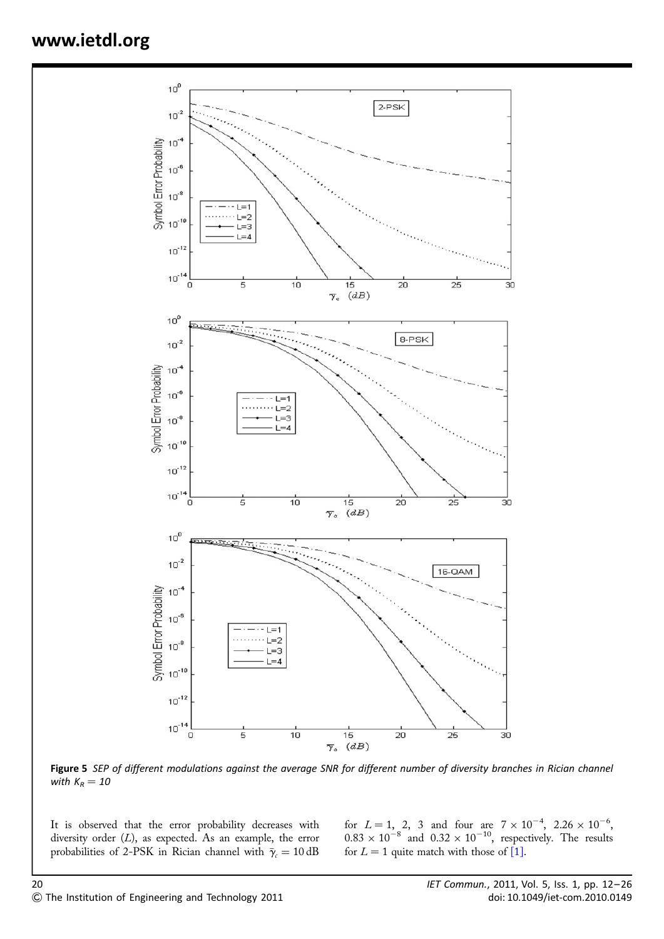

Figure 5 SEP of different modulations against the average SNR for different number of diversity branches in Rician channel with  $K_R = 10$ 

It is observed that the error probability decreases with diversity order  $(L)$ , as expected. As an example, the error probabilities of 2-PSK in Rician channel with  $\bar{\gamma}_c = 10 \text{ dB}$ 

for  $L = 1$ , 2, 3 and four are  $7 \times 10^{-4}$ , 2.26  $\times 10^{-6}$ ,  $0.83 \times 10^{-8}$  and  $0.32 \times 10^{-10}$ , respectively. The results for  $L = 1$  quite match with those of [1].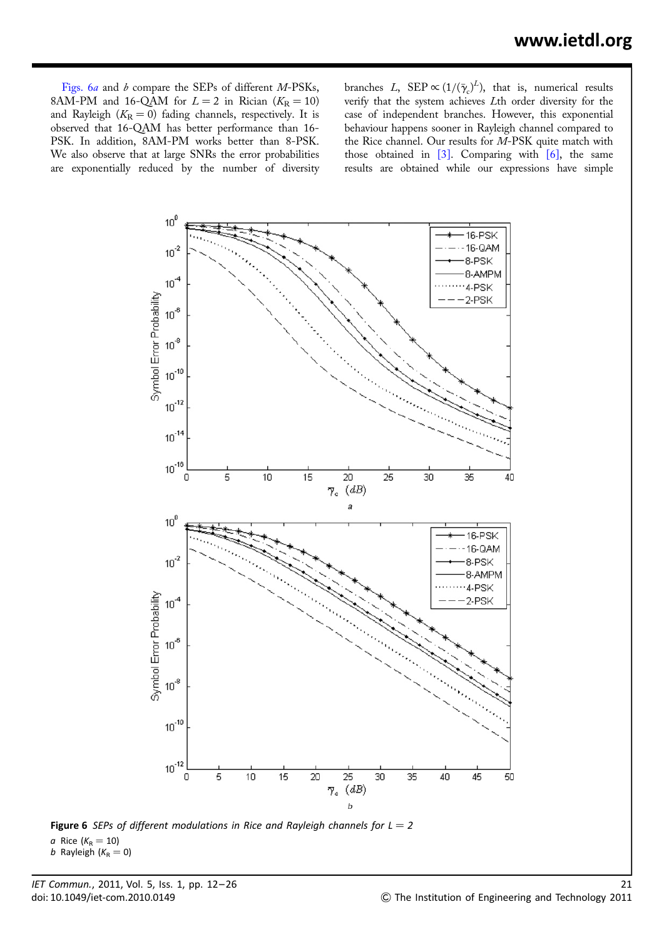Figs. 6a and b compare the SEPs of different M-PSKs, 8AM-PM and 16-QAM for  $L = 2$  in Rician ( $K_R = 10$ ) and Rayleigh ( $K_R = 0$ ) fading channels, respectively. It is observed that 16-QAM has better performance than 16- PSK. In addition, 8AM-PM works better than 8-PSK. We also observe that at large SNRs the error probabilities are exponentially reduced by the number of diversity

branches L,  $\text{SEP} \propto (1/(\bar{\gamma}_c)^L)$ , that is, numerical results verify that the system achieves Lth order diversity for the case of independent branches. However, this exponential behaviour happens sooner in Rayleigh channel compared to the Rice channel. Our results for M-PSK quite match with those obtained in  $\lceil 3 \rceil$ . Comparing with  $\lceil 6 \rceil$ , the same results are obtained while our expressions have simple



Figure 6 SEPs of different modulations in Rice and Rayleigh channels for  $L = 2$ a Rice  $(K_R = 10)$ b Rayleigh ( $K_R = 0$ )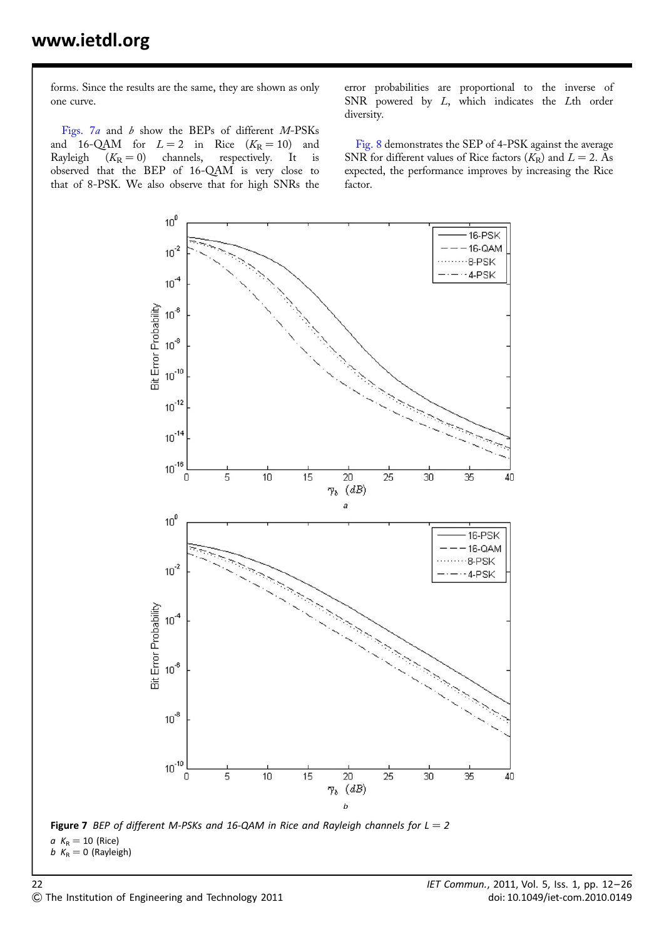forms. Since the results are the same, they are shown as only one curve.

Figs. 7a and b show the BEPs of different M-PSKs and 16-QAM for  $L = 2$  in Rice  $(K_R = 10)$  and Rayleigh  $(K_R = 0)$  channels, respectively. It is observed that the BEP of 16-QAM is very close to that of 8-PSK. We also observe that for high SNRs the error probabilities are proportional to the inverse of SNR powered by L, which indicates the Lth order diversity.

Fig. 8 demonstrates the SEP of 4-PSK against the average SNR for different values of Rice factors  $(K_R)$  and  $L = 2$ . As expected, the performance improves by increasing the Rice factor.



Figure 7 BEP of different M-PSKs and 16-QAM in Rice and Rayleigh channels for  $L = 2$  $a K_R = 10$  (Rice)  $b$  K<sub>R</sub> = 0 (Rayleigh)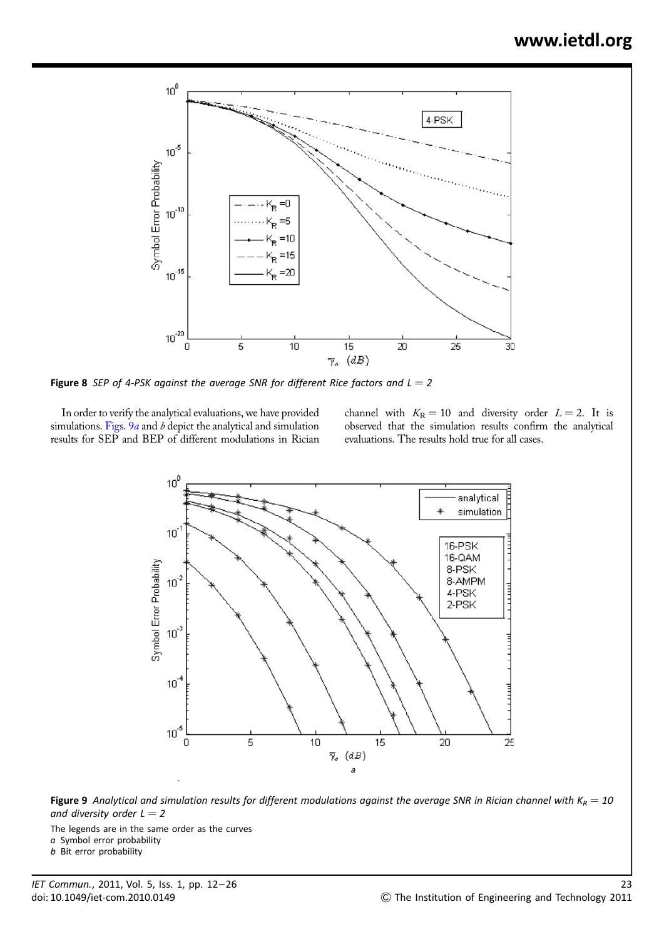

Figure 8 SEP of 4-PSK against the average SNR for different Rice factors and  $L = 2$ 

In order to verify the analytical evaluations, we have provided simulations. Figs.  $9a$  and  $b$  depict the analytical and simulation results for SEP and BEP of different modulations in Rician channel with  $K_R = 10$  and diversity order  $L = 2$ . It is observed that the simulation results confirm the analytical evaluations. The results hold true for all cases.



**Figure 9** Analytical and simulation results for different modulations against the average SNR in Rician channel with  $K_R = 10$ and diversity order  $L = 2$ 

The legends are in the same order as the curves

a Symbol error probability

b Bit error probability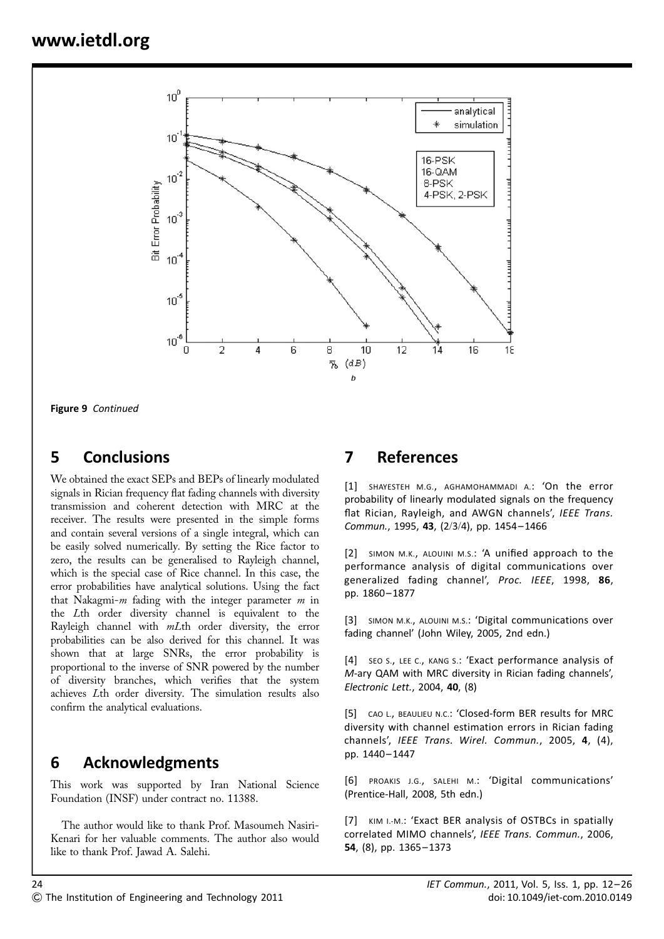

Figure 9 Continued

# 5 Conclusions

We obtained the exact SEPs and BEPs of linearly modulated signals in Rician frequency flat fading channels with diversity transmission and coherent detection with MRC at the receiver. The results were presented in the simple forms and contain several versions of a single integral, which can be easily solved numerically. By setting the Rice factor to zero, the results can be generalised to Rayleigh channel, which is the special case of Rice channel. In this case, the error probabilities have analytical solutions. Using the fact that Nakagmi- $m$  fading with the integer parameter  $m$  in the Lth order diversity channel is equivalent to the Rayleigh channel with mLth order diversity, the error probabilities can be also derived for this channel. It was shown that at large SNRs, the error probability is proportional to the inverse of SNR powered by the number of diversity branches, which verifies that the system achieves Lth order diversity. The simulation results also confirm the analytical evaluations.

# 6 Acknowledgments

This work was supported by Iran National Science Foundation (INSF) under contract no. 11388.

The author would like to thank Prof. Masoumeh Nasiri-Kenari for her valuable comments. The author also would like to thank Prof. Jawad A. Salehi.

# 7 References

[1] SHAYESTEH M.G., AGHAMOHAMMADI A.: 'On the error probability of linearly modulated signals on the frequency flat Rician, Rayleigh, and AWGN channels', IEEE Trans. Commun., 1995, 43, (2/3/4), pp. 1454– 1466

[2] SIMON M.K., ALOUINI M.S.: 'A unified approach to the performance analysis of digital communications over generalized fading channel', Proc. IEEE, 1998, 86, pp. 1860– 1877

[3] SIMON M.K., ALOUINI M.S.: 'Digital communications over fading channel' (John Wiley, 2005, 2nd edn.)

[4] SEO S., LEE C., KANG S.: 'Exact performance analysis of M-ary QAM with MRC diversity in Rician fading channels', Electronic Lett., 2004, 40, (8)

[5] CAO L., BEAULIEU N.C.: 'Closed-form BER results for MRC diversity with channel estimation errors in Rician fading channels', IEEE Trans. Wirel. Commun., 2005, 4, (4), pp. 1440– 1447

[6] PROAKIS J.G., SALEHI M.: 'Digital communications' (Prentice-Hall, 2008, 5th edn.)

[7] KIM I.-M.: 'Exact BER analysis of OSTBCs in spatially correlated MIMO channels', IEEE Trans. Commun., 2006, 54, (8), pp. 1365– 1373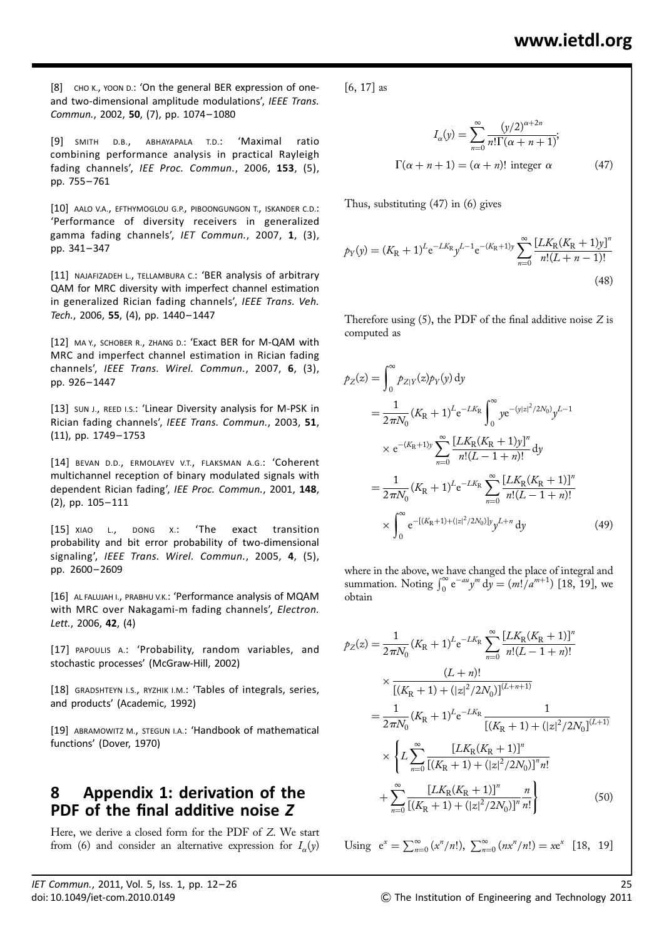[8] CHO K., YOON D.: 'On the general BER expression of oneand two-dimensional amplitude modulations', IEEE Trans. Commun., 2002, 50, (7), pp. 1074– 1080

[9] SMITH D.B., ABHAYAPALA T.D.: 'Maximal ratio combining performance analysis in practical Rayleigh fading channels', IEE Proc. Commun., 2006, 153, (5), pp. 755– 761

[10] AALO V.A., EFTHYMOGLOU G.P., PIBOONGUNGON T., ISKANDER C.D.: 'Performance of diversity receivers in generalized gamma fading channels', IET Commun., 2007, 1, (3), pp. 341– 347

[11] NAJAFIZADEH L., TELLAMBURA C.: 'BER analysis of arbitrary QAM for MRC diversity with imperfect channel estimation in generalized Rician fading channels', IEEE Trans. Veh. Tech., 2006, 55, (4), pp. 1440-1447

[12] MA Y., SCHOBER R., ZHANG D.: 'Exact BER for M-QAM with MRC and imperfect channel estimation in Rician fading channels', IEEE Trans. Wirel. Commun., 2007, 6, (3), pp. 926– 1447

[13] SUN J., REED I.S.: 'Linear Diversity analysis for M-PSK in Rician fading channels', IEEE Trans. Commun., 2003, 51, (11), pp. 1749– 1753

[14] BEVAN D.D., ERMOLAYEV V.T., FLAKSMAN A.G.: 'Coherent multichannel reception of binary modulated signals with dependent Rician fading', IEE Proc. Commun., 2001, 148, (2), pp. 105– 111

[15] XIAO L., DONG X.: 'The exact transition probability and bit error probability of two-dimensional signaling', IEEE Trans. Wirel. Commun., 2005, 4, (5), pp. 2600– 2609

[16] AL FALUJAH I., PRABHU V.K.: 'Performance analysis of MQAM with MRC over Nakagami-m fading channels', Electron. Lett., 2006, 42, (4)

[17] PAPOULIS A.: 'Probability, random variables, and stochastic processes' (McGraw-Hill, 2002)

[18] GRADSHTEYN I.S., RYZHIK I.M.: 'Tables of integrals, series, and products' (Academic, 1992)

[19] ABRAMOWITZ M., STEGUN I.A.: 'Handbook of mathematical functions' (Dover, 1970)

# 8 Appendix 1: derivation of the PDF of the final additive noise Z

Here, we derive a closed form for the PDF of Z. We start from (6) and consider an alternative expression for  $I_{\alpha}(y)$  [6, 17] as

$$
I_{\alpha}(y) = \sum_{n=0}^{\infty} \frac{(y/2)^{\alpha+2n}}{n!\Gamma(\alpha+n+1)};
$$
  

$$
\Gamma(\alpha+n+1) = (\alpha+n)! \text{ integer } \alpha
$$
 (47)

Thus, substituting (47) in (6) gives

$$
p_Y(y) = (K_R + 1)^L e^{-LK_R} y^{L-1} e^{-(K_R + 1)y} \sum_{n=0}^{\infty} \frac{[LK_R(K_R + 1)y]^n}{n!(L + n - 1)!}
$$
\n(48)

Therefore using  $(5)$ , the PDF of the final additive noise Z is computed as

$$
p_Z(z) = \int_0^\infty p_{Z|Y}(z) p_Y(y) \, dy
$$
  
\n
$$
= \frac{1}{2\pi N_0} (K_R + 1)^L e^{-LK_R} \int_0^\infty y e^{-(y|z|^2/2N_0)} y^{L-1}
$$
  
\n
$$
\times e^{-(K_R+1)y} \sum_{n=0}^\infty \frac{[LK_R(K_R + 1)y]^n}{n!(L-1+n)!} \, dy
$$
  
\n
$$
= \frac{1}{2\pi N_0} (K_R + 1)^L e^{-LK_R} \sum_{n=0}^\infty \frac{[LK_R(K_R + 1)]^n}{n!(L-1+n)!}
$$
  
\n
$$
\times \int_0^\infty e^{-[(K_R+1)+(|z|^2/2N_0)] y} y^{L+n} \, dy
$$
(49)

where in the above, we have changed the place of integral and summation. Noting  $\int_0^{\infty} e^{-au} y^m dy = (m!/a^{m+1})$  [18, 19], we obtain

$$
\begin{split} \n\mathcal{P}_{Z}(z) &= \frac{1}{2\pi N_{0}} (K_{\rm R} + 1)^{L} e^{-LK_{\rm R}} \sum_{n=0}^{\infty} \frac{[LK_{\rm R}(K_{\rm R} + 1)]^{n}}{n!(L - 1 + n)!} \\ \n&\times \frac{(L + n)!}{[(K_{\rm R} + 1) + (|z|^{2}/2N_{0})]^{(L + n + 1)}} \\ \n&= \frac{1}{2\pi N_{0}} (K_{\rm R} + 1)^{L} e^{-LK_{\rm R}} \frac{1}{[(K_{\rm R} + 1) + (|z|^{2}/2N_{0}]^{(L + 1)}} \\ \n&\times \left\{ L \sum_{n=0}^{\infty} \frac{[LK_{\rm R}(K_{\rm R} + 1)]^{n}}{[(K_{\rm R} + 1) + (|z|^{2}/2N_{0})]^{n} n!} \right\} \\ \n&\quad + \sum_{n=0}^{\infty} \frac{[LK_{\rm R}(K_{\rm R} + 1)]^{n}}{[(K_{\rm R} + 1) + (|z|^{2}/2N_{0})]^{n} n!} \n\end{split} \tag{50}
$$

Using 
$$
e^x = \sum_{n=0}^{\infty} (x^n/n!), \sum_{n=0}^{\infty} (nx^n/n!) = xe^x
$$
 [18, 19]